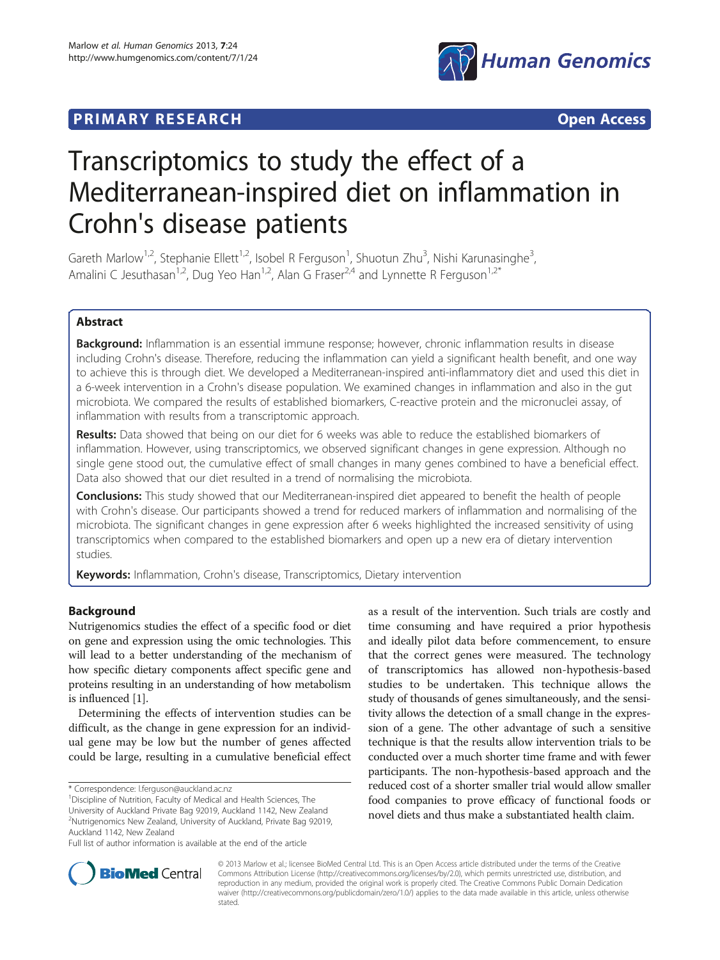## **PRIMARY RESEARCH CONSUMING THE OPEN ACCESS**



# Transcriptomics to study the effect of a Mediterranean-inspired diet on inflammation in Crohn's disease patients

Gareth Marlow<sup>1,2</sup>, Stephanie Ellett<sup>1,2</sup>, Isobel R Ferguson<sup>1</sup>, Shuotun Zhu<sup>3</sup>, Nishi Karunasinghe<sup>3</sup> , Amalini C Jesuthasan<sup>1,2</sup>, Dug Yeo Han<sup>1,2</sup>, Alan G Fraser<sup>2,4</sup> and Lynnette R Ferguson<sup>1,2\*</sup>

## Abstract

**Background:** Inflammation is an essential immune response; however, chronic inflammation results in disease including Crohn's disease. Therefore, reducing the inflammation can yield a significant health benefit, and one way to achieve this is through diet. We developed a Mediterranean-inspired anti-inflammatory diet and used this diet in a 6-week intervention in a Crohn's disease population. We examined changes in inflammation and also in the gut microbiota. We compared the results of established biomarkers, C-reactive protein and the micronuclei assay, of inflammation with results from a transcriptomic approach.

Results: Data showed that being on our diet for 6 weeks was able to reduce the established biomarkers of inflammation. However, using transcriptomics, we observed significant changes in gene expression. Although no single gene stood out, the cumulative effect of small changes in many genes combined to have a beneficial effect. Data also showed that our diet resulted in a trend of normalising the microbiota.

**Conclusions:** This study showed that our Mediterranean-inspired diet appeared to benefit the health of people with Crohn's disease. Our participants showed a trend for reduced markers of inflammation and normalising of the microbiota. The significant changes in gene expression after 6 weeks highlighted the increased sensitivity of using transcriptomics when compared to the established biomarkers and open up a new era of dietary intervention studies.

**Keywords:** Inflammation, Crohn's disease, Transcriptomics, Dietary intervention

## Background

Nutrigenomics studies the effect of a specific food or diet on gene and expression using the omic technologies. This will lead to a better understanding of the mechanism of how specific dietary components affect specific gene and proteins resulting in an understanding of how metabolism is influenced [[1\]](#page-7-0).

Determining the effects of intervention studies can be difficult, as the change in gene expression for an individual gene may be low but the number of genes affected could be large, resulting in a cumulative beneficial effect

<sup>1</sup> Discipline of Nutrition, Faculty of Medical and Health Sciences, The University of Auckland Private Bag 92019, Auckland 1142, New Zealand 2 Nutrigenomics New Zealand, University of Auckland, Private Bag 92019, Auckland 1142, New Zealand

as a result of the intervention. Such trials are costly and time consuming and have required a prior hypothesis and ideally pilot data before commencement, to ensure that the correct genes were measured. The technology of transcriptomics has allowed non-hypothesis-based studies to be undertaken. This technique allows the study of thousands of genes simultaneously, and the sensitivity allows the detection of a small change in the expression of a gene. The other advantage of such a sensitive technique is that the results allow intervention trials to be conducted over a much shorter time frame and with fewer participants. The non-hypothesis-based approach and the reduced cost of a shorter smaller trial would allow smaller food companies to prove efficacy of functional foods or novel diets and thus make a substantiated health claim.



© 2013 Marlow et al.; licensee BioMed Central Ltd. This is an Open Access article distributed under the terms of the Creative Commons Attribution License [\(http://creativecommons.org/licenses/by/2.0\)](http://creativecommons.org/licenses/by/2.0), which permits unrestricted use, distribution, and reproduction in any medium, provided the original work is properly cited. The Creative Commons Public Domain Dedication waiver [\(http://creativecommons.org/publicdomain/zero/1.0/\)](http://creativecommons.org/publicdomain/zero/1.0/) applies to the data made available in this article, unless otherwise stated.

<sup>\*</sup> Correspondence: [l.ferguson@auckland.ac.nz](mailto:l.ferguson@auckland.ac.nz) <sup>1</sup>

Full list of author information is available at the end of the article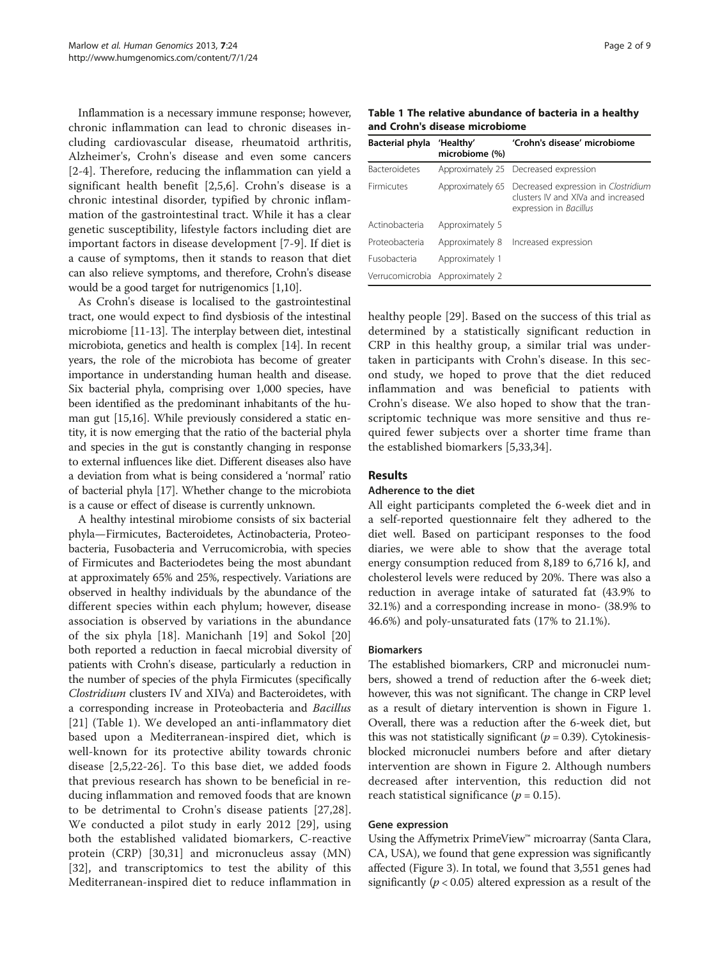Inflammation is a necessary immune response; however, chronic inflammation can lead to chronic diseases including cardiovascular disease, rheumatoid arthritis, Alzheimer's, Crohn's disease and even some cancers [[2-4\]](#page-7-0). Therefore, reducing the inflammation can yield a significant health benefit [[2,5,6](#page-7-0)]. Crohn's disease is a chronic intestinal disorder, typified by chronic inflammation of the gastrointestinal tract. While it has a clear genetic susceptibility, lifestyle factors including diet are important factors in disease development [[7-9](#page-7-0)]. If diet is a cause of symptoms, then it stands to reason that diet can also relieve symptoms, and therefore, Crohn's disease would be a good target for nutrigenomics [[1,10](#page-7-0)].

As Crohn's disease is localised to the gastrointestinal tract, one would expect to find dysbiosis of the intestinal microbiome [[11-13\]](#page-7-0). The interplay between diet, intestinal microbiota, genetics and health is complex [[14](#page-7-0)]. In recent years, the role of the microbiota has become of greater importance in understanding human health and disease. Six bacterial phyla, comprising over 1,000 species, have been identified as the predominant inhabitants of the human gut [\[15,16](#page-7-0)]. While previously considered a static entity, it is now emerging that the ratio of the bacterial phyla and species in the gut is constantly changing in response to external influences like diet. Different diseases also have a deviation from what is being considered a 'normal' ratio of bacterial phyla [\[17](#page-7-0)]. Whether change to the microbiota is a cause or effect of disease is currently unknown.

A healthy intestinal mirobiome consists of six bacterial phyla—Firmicutes, Bacteroidetes, Actinobacteria, Proteobacteria, Fusobacteria and Verrucomicrobia, with species of Firmicutes and Bacteriodetes being the most abundant at approximately 65% and 25%, respectively. Variations are observed in healthy individuals by the abundance of the different species within each phylum; however, disease association is observed by variations in the abundance of the six phyla [\[18](#page-7-0)]. Manichanh [[19\]](#page-7-0) and Sokol [\[20](#page-7-0)] both reported a reduction in faecal microbial diversity of patients with Crohn's disease, particularly a reduction in the number of species of the phyla Firmicutes (specifically Clostridium clusters IV and XIVa) and Bacteroidetes, with a corresponding increase in Proteobacteria and Bacillus [[21\]](#page-7-0) (Table 1). We developed an anti-inflammatory diet based upon a Mediterranean-inspired diet, which is well-known for its protective ability towards chronic disease [[2,5,22](#page-7-0)-[26\]](#page-7-0). To this base diet, we added foods that previous research has shown to be beneficial in reducing inflammation and removed foods that are known to be detrimental to Crohn's disease patients [[27,28](#page-7-0)]. We conducted a pilot study in early 2012 [\[29](#page-7-0)], using both the established validated biomarkers, C-reactive protein (CRP) [\[30](#page-7-0),[31\]](#page-7-0) and micronucleus assay (MN) [[32\]](#page-7-0), and transcriptomics to test the ability of this Mediterranean-inspired diet to reduce inflammation in

Table 1 The relative abundance of bacteria in a healthy and Crohn's disease microbiome

| Bacterial phyla      | 'Healthy'<br>microbiome (%) | 'Crohn's disease' microbiome                                                                                                |
|----------------------|-----------------------------|-----------------------------------------------------------------------------------------------------------------------------|
| <b>Bacteroidetes</b> |                             | Approximately 25 Decreased expression                                                                                       |
| <b>Firmicutes</b>    |                             | Approximately 65 Decreased expression in Clostridium<br>clusters IV and XIVa and increased<br>expression in <i>Bacillus</i> |
| Actinobacteria       | Approximately 5             |                                                                                                                             |
| Proteobacteria       | Approximately 8             | Increased expression                                                                                                        |
| <b>Fusobacteria</b>  | Approximately 1             |                                                                                                                             |
| Verrucomicrobia      | Approximately 2             |                                                                                                                             |

healthy people [[29\]](#page-7-0). Based on the success of this trial as determined by a statistically significant reduction in CRP in this healthy group, a similar trial was undertaken in participants with Crohn's disease. In this second study, we hoped to prove that the diet reduced inflammation and was beneficial to patients with Crohn's disease. We also hoped to show that the transcriptomic technique was more sensitive and thus required fewer subjects over a shorter time frame than the established biomarkers [[5,33,34](#page-7-0)].

## Results

## Adherence to the diet

All eight participants completed the 6-week diet and in a self-reported questionnaire felt they adhered to the diet well. Based on participant responses to the food diaries, we were able to show that the average total energy consumption reduced from 8,189 to 6,716 kJ, and cholesterol levels were reduced by 20%. There was also a reduction in average intake of saturated fat (43.9% to 32.1%) and a corresponding increase in mono- (38.9% to 46.6%) and poly-unsaturated fats (17% to 21.1%).

#### **Biomarkers**

The established biomarkers, CRP and micronuclei numbers, showed a trend of reduction after the 6-week diet; however, this was not significant. The change in CRP level as a result of dietary intervention is shown in Figure [1](#page-2-0). Overall, there was a reduction after the 6-week diet, but this was not statistically significant ( $p = 0.39$ ). Cytokinesisblocked micronuclei numbers before and after dietary intervention are shown in Figure [2](#page-2-0). Although numbers decreased after intervention, this reduction did not reach statistical significance ( $p = 0.15$ ).

#### Gene expression

Using the Affymetrix PrimeView™ microarray (Santa Clara, CA, USA), we found that gene expression was significantly affected (Figure [3](#page-2-0)). In total, we found that 3,551 genes had significantly ( $p < 0.05$ ) altered expression as a result of the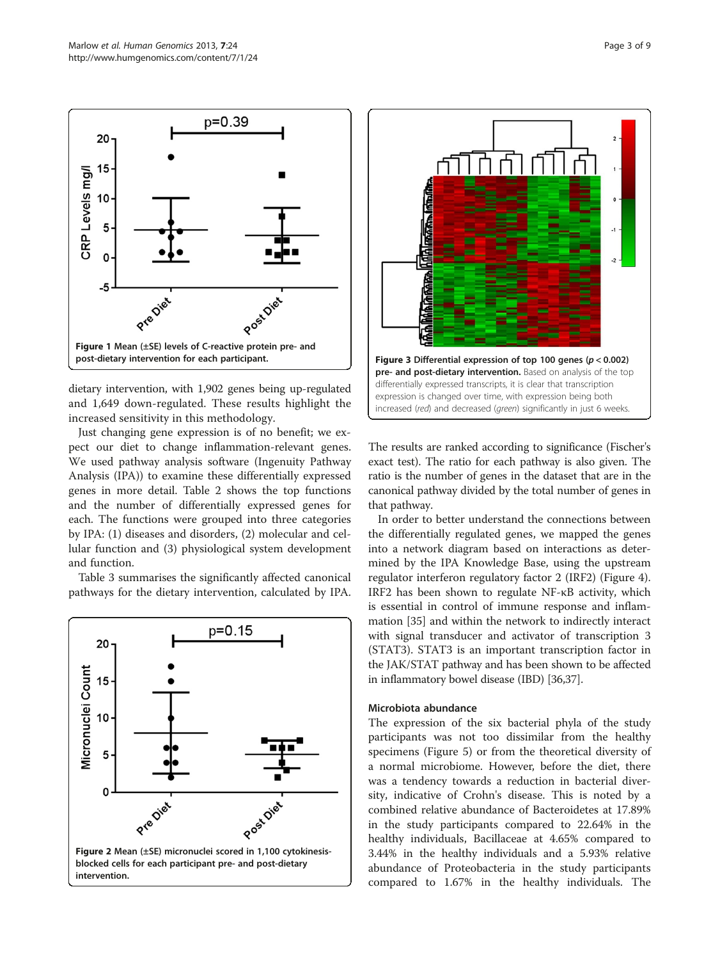<span id="page-2-0"></span>

dietary intervention, with 1,902 genes being up-regulated and 1,649 down-regulated. These results highlight the increased sensitivity in this methodology.

Just changing gene expression is of no benefit; we expect our diet to change inflammation-relevant genes. We used pathway analysis software (Ingenuity Pathway Analysis (IPA)) to examine these differentially expressed genes in more detail. Table [2](#page-3-0) shows the top functions and the number of differentially expressed genes for each. The functions were grouped into three categories by IPA: (1) diseases and disorders, (2) molecular and cellular function and (3) physiological system development and function.

Table [3](#page-3-0) summarises the significantly affected canonical pathways for the dietary intervention, calculated by IPA.





The results are ranked according to significance (Fischer's exact test). The ratio for each pathway is also given. The ratio is the number of genes in the dataset that are in the canonical pathway divided by the total number of genes in that pathway.

In order to better understand the connections between the differentially regulated genes, we mapped the genes into a network diagram based on interactions as determined by the IPA Knowledge Base, using the upstream regulator interferon regulatory factor 2 (IRF2) (Figure [4](#page-4-0)). IRF2 has been shown to regulate NF-κB activity, which is essential in control of immune response and inflammation [[35\]](#page-8-0) and within the network to indirectly interact with signal transducer and activator of transcription 3 (STAT3). STAT3 is an important transcription factor in the JAK/STAT pathway and has been shown to be affected in inflammatory bowel disease (IBD) [\[36,37](#page-8-0)].

#### Microbiota abundance

The expression of the six bacterial phyla of the study participants was not too dissimilar from the healthy specimens (Figure [5\)](#page-4-0) or from the theoretical diversity of a normal microbiome. However, before the diet, there was a tendency towards a reduction in bacterial diversity, indicative of Crohn's disease. This is noted by a combined relative abundance of Bacteroidetes at 17.89% in the study participants compared to 22.64% in the healthy individuals, Bacillaceae at 4.65% compared to 3.44% in the healthy individuals and a 5.93% relative abundance of Proteobacteria in the study participants compared to 1.67% in the healthy individuals. The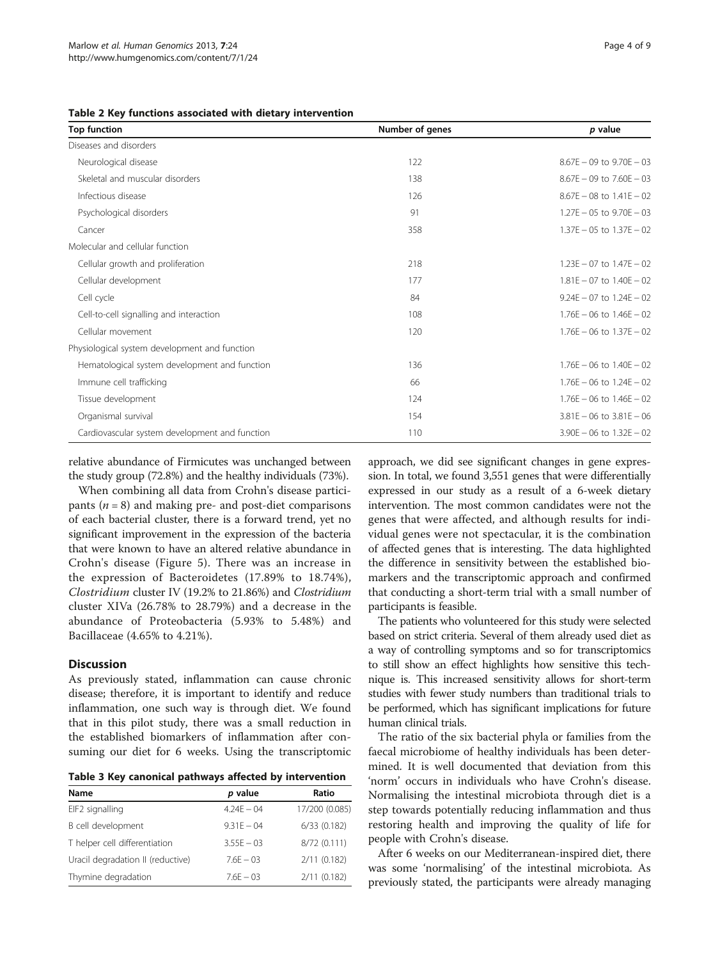<span id="page-3-0"></span>Table 2 Key functions associated with dietary intervention

| <b>Top function</b>                            | Number of genes | <i>p</i> value               |
|------------------------------------------------|-----------------|------------------------------|
| Diseases and disorders                         |                 |                              |
| Neurological disease                           | 122             | $8.67E - 09$ to $9.70E - 03$ |
| Skeletal and muscular disorders                | 138             | $8.67E - 09$ to $7.60E - 03$ |
| Infectious disease                             | 126             | $8.67E - 08$ to $1.41E - 02$ |
| Psychological disorders                        | 91              | $1.27E - 05$ to $9.70E - 03$ |
| Cancer                                         | 358             | $1.37E - 05$ to $1.37E - 02$ |
| Molecular and cellular function                |                 |                              |
| Cellular growth and proliferation              | 218             | $1.23E - 07$ to $1.47E - 02$ |
| Cellular development                           | 177             | $1.81E - 07$ to $1.40E - 02$ |
| Cell cycle                                     | 84              | $9.24E - 07$ to $1.24E - 02$ |
| Cell-to-cell signalling and interaction        | 108             | $1.76E - 06$ to $1.46E - 02$ |
| Cellular movement                              | 120             | $1.76E - 06$ to $1.37E - 02$ |
| Physiological system development and function  |                 |                              |
| Hematological system development and function  | 136             | $1.76E - 06$ to $1.40E - 02$ |
| Immune cell trafficking                        | 66              | $1.76E - 06$ to $1.24E - 02$ |
| Tissue development                             | 124             | $1.76E - 06$ to $1.46E - 02$ |
| Organismal survival                            | 154             | $3.81E - 06$ to $3.81E - 06$ |
| Cardiovascular system development and function | 110             | $3.90E - 06$ to $1.32E - 02$ |

relative abundance of Firmicutes was unchanged between the study group (72.8%) and the healthy individuals (73%).

When combining all data from Crohn's disease participants ( $n = 8$ ) and making pre- and post-diet comparisons of each bacterial cluster, there is a forward trend, yet no significant improvement in the expression of the bacteria that were known to have an altered relative abundance in Crohn's disease (Figure [5](#page-4-0)). There was an increase in the expression of Bacteroidetes (17.89% to 18.74%), Clostridium cluster IV (19.2% to 21.86%) and Clostridium cluster XIVa (26.78% to 28.79%) and a decrease in the abundance of Proteobacteria (5.93% to 5.48%) and Bacillaceae (4.65% to 4.21%).

## **Discussion**

As previously stated, inflammation can cause chronic disease; therefore, it is important to identify and reduce inflammation, one such way is through diet. We found that in this pilot study, there was a small reduction in the established biomarkers of inflammation after consuming our diet for 6 weeks. Using the transcriptomic

Table 3 Key canonical pathways affected by intervention

| Name                              | p value      | Ratio            |
|-----------------------------------|--------------|------------------|
| EIF <sub>2</sub> signalling       | $4.24F - 04$ | 17/200 (0.085)   |
| B cell development                | $9.31F - 04$ | $6/33$ $(0.182)$ |
| T helper cell differentiation     | $3.55F - 03$ | 8/72 (0.111)     |
| Uracil degradation II (reductive) | $7.6F - 03$  | 2/11(0.182)      |
| Thymine degradation               | $7.6F - 03$  | 2/11(0.182)      |

approach, we did see significant changes in gene expression. In total, we found 3,551 genes that were differentially expressed in our study as a result of a 6-week dietary intervention. The most common candidates were not the genes that were affected, and although results for individual genes were not spectacular, it is the combination of affected genes that is interesting. The data highlighted the difference in sensitivity between the established biomarkers and the transcriptomic approach and confirmed that conducting a short-term trial with a small number of participants is feasible.

The patients who volunteered for this study were selected based on strict criteria. Several of them already used diet as a way of controlling symptoms and so for transcriptomics to still show an effect highlights how sensitive this technique is. This increased sensitivity allows for short-term studies with fewer study numbers than traditional trials to be performed, which has significant implications for future human clinical trials.

The ratio of the six bacterial phyla or families from the faecal microbiome of healthy individuals has been determined. It is well documented that deviation from this 'norm' occurs in individuals who have Crohn's disease. Normalising the intestinal microbiota through diet is a step towards potentially reducing inflammation and thus restoring health and improving the quality of life for people with Crohn's disease.

After 6 weeks on our Mediterranean-inspired diet, there was some 'normalising' of the intestinal microbiota. As previously stated, the participants were already managing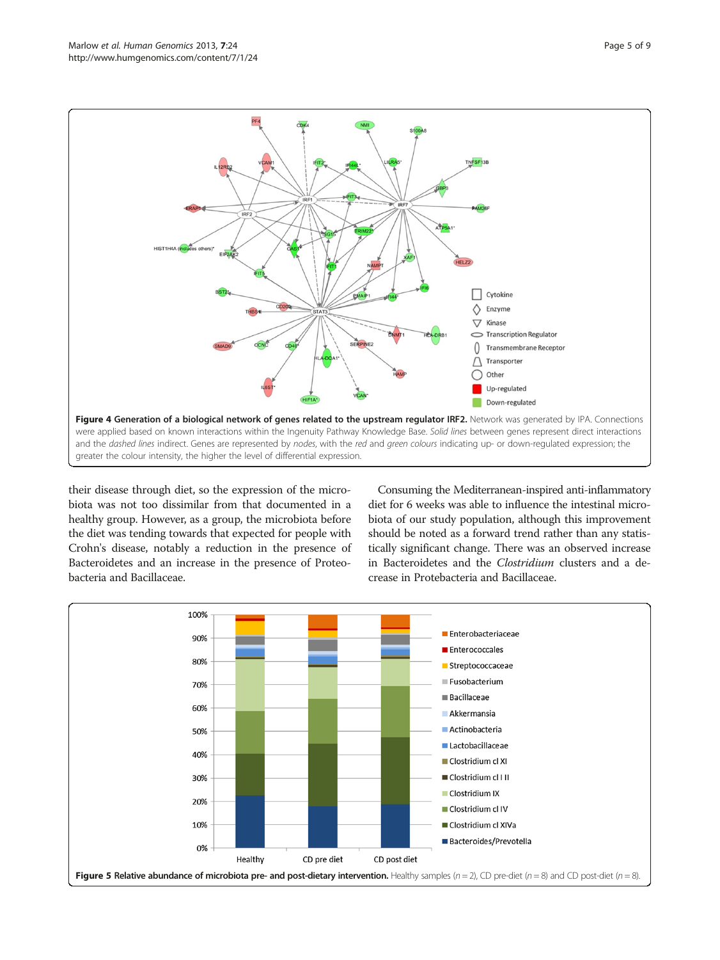<span id="page-4-0"></span>

their disease through diet, so the expression of the microbiota was not too dissimilar from that documented in a healthy group. However, as a group, the microbiota before the diet was tending towards that expected for people with Crohn's disease, notably a reduction in the presence of Bacteroidetes and an increase in the presence of Proteobacteria and Bacillaceae.

Consuming the Mediterranean-inspired anti-inflammatory diet for 6 weeks was able to influence the intestinal microbiota of our study population, although this improvement should be noted as a forward trend rather than any statistically significant change. There was an observed increase in Bacteroidetes and the Clostridium clusters and a decrease in Protebacteria and Bacillaceae.

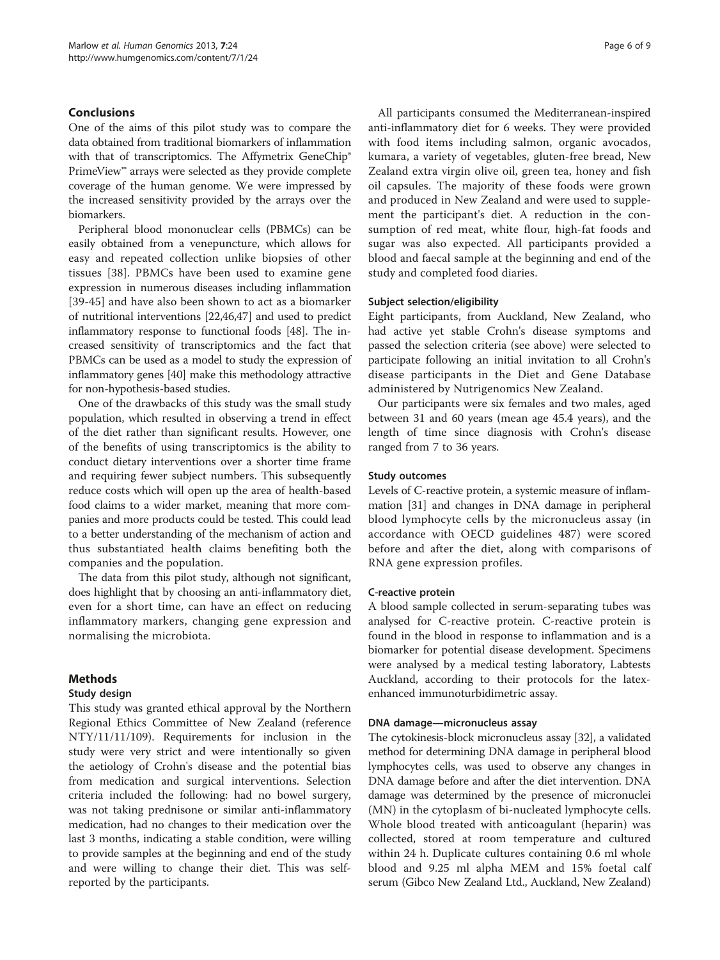## Conclusions

One of the aims of this pilot study was to compare the data obtained from traditional biomarkers of inflammation with that of transcriptomics. The Affymetrix GeneChip® PrimeView™ arrays were selected as they provide complete coverage of the human genome. We were impressed by the increased sensitivity provided by the arrays over the biomarkers.

Peripheral blood mononuclear cells (PBMCs) can be easily obtained from a venepuncture, which allows for easy and repeated collection unlike biopsies of other tissues [[38](#page-8-0)]. PBMCs have been used to examine gene expression in numerous diseases including inflammation [[39-45\]](#page-8-0) and have also been shown to act as a biomarker of nutritional interventions [\[22](#page-7-0)[,46,47](#page-8-0)] and used to predict inflammatory response to functional foods [\[48\]](#page-8-0). The increased sensitivity of transcriptomics and the fact that PBMCs can be used as a model to study the expression of inflammatory genes [\[40](#page-8-0)] make this methodology attractive for non-hypothesis-based studies.

One of the drawbacks of this study was the small study population, which resulted in observing a trend in effect of the diet rather than significant results. However, one of the benefits of using transcriptomics is the ability to conduct dietary interventions over a shorter time frame and requiring fewer subject numbers. This subsequently reduce costs which will open up the area of health-based food claims to a wider market, meaning that more companies and more products could be tested. This could lead to a better understanding of the mechanism of action and thus substantiated health claims benefiting both the companies and the population.

The data from this pilot study, although not significant, does highlight that by choosing an anti-inflammatory diet, even for a short time, can have an effect on reducing inflammatory markers, changing gene expression and normalising the microbiota.

## Methods

## Study design

This study was granted ethical approval by the Northern Regional Ethics Committee of New Zealand (reference NTY/11/11/109). Requirements for inclusion in the study were very strict and were intentionally so given the aetiology of Crohn's disease and the potential bias from medication and surgical interventions. Selection criteria included the following: had no bowel surgery, was not taking prednisone or similar anti-inflammatory medication, had no changes to their medication over the last 3 months, indicating a stable condition, were willing to provide samples at the beginning and end of the study and were willing to change their diet. This was selfreported by the participants.

All participants consumed the Mediterranean-inspired anti-inflammatory diet for 6 weeks. They were provided with food items including salmon, organic avocados, kumara, a variety of vegetables, gluten-free bread, New Zealand extra virgin olive oil, green tea, honey and fish oil capsules. The majority of these foods were grown and produced in New Zealand and were used to supplement the participant's diet. A reduction in the consumption of red meat, white flour, high-fat foods and sugar was also expected. All participants provided a blood and faecal sample at the beginning and end of the study and completed food diaries.

## Subject selection/eligibility

Eight participants, from Auckland, New Zealand, who had active yet stable Crohn's disease symptoms and passed the selection criteria (see above) were selected to participate following an initial invitation to all Crohn's disease participants in the Diet and Gene Database administered by Nutrigenomics New Zealand.

Our participants were six females and two males, aged between 31 and 60 years (mean age 45.4 years), and the length of time since diagnosis with Crohn's disease ranged from 7 to 36 years.

## Study outcomes

Levels of C-reactive protein, a systemic measure of inflammation [\[31](#page-7-0)] and changes in DNA damage in peripheral blood lymphocyte cells by the micronucleus assay (in accordance with OECD guidelines 487) were scored before and after the diet, along with comparisons of RNA gene expression profiles.

## C-reactive protein

A blood sample collected in serum-separating tubes was analysed for C-reactive protein. C-reactive protein is found in the blood in response to inflammation and is a biomarker for potential disease development. Specimens were analysed by a medical testing laboratory, Labtests Auckland, according to their protocols for the latexenhanced immunoturbidimetric assay.

## DNA damage—micronucleus assay

The cytokinesis-block micronucleus assay [\[32\]](#page-7-0), a validated method for determining DNA damage in peripheral blood lymphocytes cells, was used to observe any changes in DNA damage before and after the diet intervention. DNA damage was determined by the presence of micronuclei (MN) in the cytoplasm of bi-nucleated lymphocyte cells. Whole blood treated with anticoagulant (heparin) was collected, stored at room temperature and cultured within 24 h. Duplicate cultures containing 0.6 ml whole blood and 9.25 ml alpha MEM and 15% foetal calf serum (Gibco New Zealand Ltd., Auckland, New Zealand)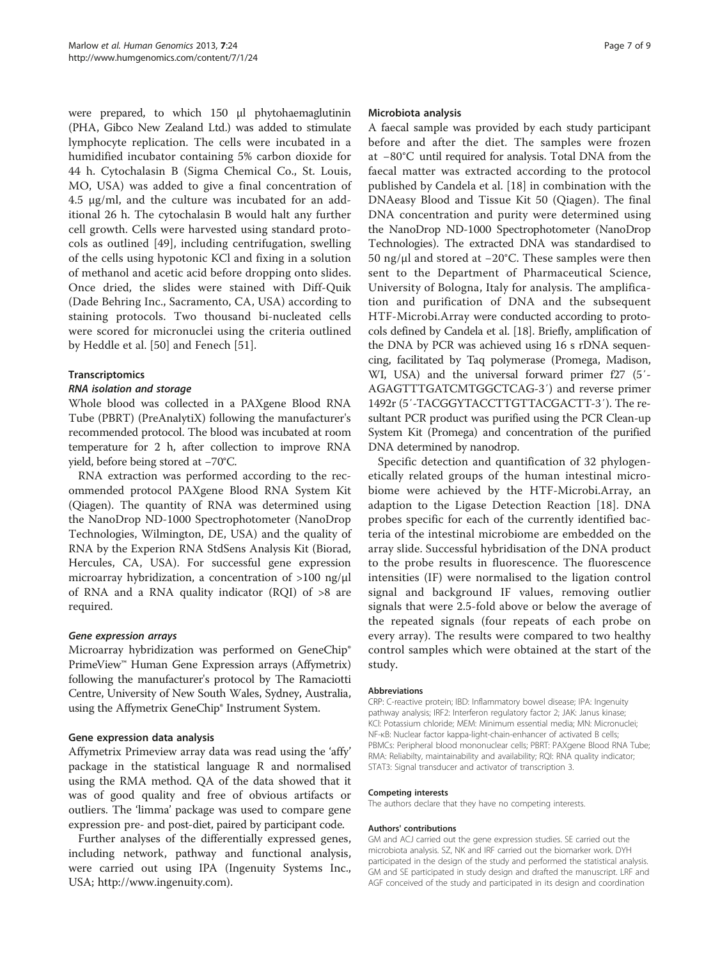were prepared, to which 150 μl phytohaemaglutinin (PHA, Gibco New Zealand Ltd.) was added to stimulate lymphocyte replication. The cells were incubated in a humidified incubator containing 5% carbon dioxide for 44 h. Cytochalasin B (Sigma Chemical Co., St. Louis, MO, USA) was added to give a final concentration of 4.5 μg/ml, and the culture was incubated for an additional 26 h. The cytochalasin B would halt any further cell growth. Cells were harvested using standard protocols as outlined [\[49](#page-8-0)], including centrifugation, swelling of the cells using hypotonic KCl and fixing in a solution of methanol and acetic acid before dropping onto slides. Once dried, the slides were stained with Diff-Quik (Dade Behring Inc., Sacramento, CA, USA) according to staining protocols. Two thousand bi-nucleated cells were scored for micronuclei using the criteria outlined by Heddle et al. [\[50](#page-8-0)] and Fenech [[51\]](#page-8-0).

## **Transcriptomics**

## RNA isolation and storage

Whole blood was collected in a PAXgene Blood RNA Tube (PBRT) (PreAnalytiX) following the manufacturer's recommended protocol. The blood was incubated at room temperature for 2 h, after collection to improve RNA yield, before being stored at −70°C.

RNA extraction was performed according to the recommended protocol PAXgene Blood RNA System Kit (Qiagen). The quantity of RNA was determined using the NanoDrop ND-1000 Spectrophotometer (NanoDrop Technologies, Wilmington, DE, USA) and the quality of RNA by the Experion RNA StdSens Analysis Kit (Biorad, Hercules, CA, USA). For successful gene expression microarray hybridization, a concentration of >100 ng/μl of RNA and a RNA quality indicator (RQI) of >8 are required.

## Gene expression arrays

Microarray hybridization was performed on GeneChip® PrimeView™ Human Gene Expression arrays (Affymetrix) following the manufacturer's protocol by The Ramaciotti Centre, University of New South Wales, Sydney, Australia, using the Affymetrix GeneChip® Instrument System.

## Gene expression data analysis

Affymetrix Primeview array data was read using the 'affy' package in the statistical language R and normalised using the RMA method. QA of the data showed that it was of good quality and free of obvious artifacts or outliers. The 'limma' package was used to compare gene expression pre- and post-diet, paired by participant code.

Further analyses of the differentially expressed genes, including network, pathway and functional analysis, were carried out using IPA (Ingenuity Systems Inc., USA; [http://www.ingenuity.com\)](http://www.ingenuity.com).

## Microbiota analysis

A faecal sample was provided by each study participant before and after the diet. The samples were frozen at −80°C until required for analysis. Total DNA from the faecal matter was extracted according to the protocol published by Candela et al. [\[18](#page-7-0)] in combination with the DNAeasy Blood and Tissue Kit 50 (Qiagen). The final DNA concentration and purity were determined using the NanoDrop ND-1000 Spectrophotometer (NanoDrop Technologies). The extracted DNA was standardised to 50 ng/μl and stored at −20°C. These samples were then sent to the Department of Pharmaceutical Science, University of Bologna, Italy for analysis. The amplification and purification of DNA and the subsequent HTF-Microbi.Array were conducted according to protocols defined by Candela et al. [[18](#page-7-0)]. Briefly, amplification of the DNA by PCR was achieved using 16 s rDNA sequencing, facilitated by Taq polymerase (Promega, Madison, WI, USA) and the universal forward primer f27 (5'-AGAGTTTGATCMTGGCTCAG-3′) and reverse primer 1492r (5′-TACGGYTACCTTGTTACGACTT-3′). The resultant PCR product was purified using the PCR Clean-up System Kit (Promega) and concentration of the purified DNA determined by nanodrop.

Specific detection and quantification of 32 phylogenetically related groups of the human intestinal microbiome were achieved by the HTF-Microbi.Array, an adaption to the Ligase Detection Reaction [[18\]](#page-7-0). DNA probes specific for each of the currently identified bacteria of the intestinal microbiome are embedded on the array slide. Successful hybridisation of the DNA product to the probe results in fluorescence. The fluorescence intensities (IF) were normalised to the ligation control signal and background IF values, removing outlier signals that were 2.5-fold above or below the average of the repeated signals (four repeats of each probe on every array). The results were compared to two healthy control samples which were obtained at the start of the study.

## Abbreviations

CRP: C-reactive protein; IBD: Inflammatory bowel disease; IPA: Ingenuity pathway analysis; IRF2: Interferon regulatory factor 2; JAK: Janus kinase; KCl: Potassium chloride; MEM: Minimum essential media; MN: Micronuclei; NF-κB: Nuclear factor kappa-light-chain-enhancer of activated B cells; PBMCs: Peripheral blood mononuclear cells; PBRT: PAXgene Blood RNA Tube; RMA: Reliabilty, maintainability and availability; RQI: RNA quality indicator; STAT3: Signal transducer and activator of transcription 3.

#### Competing interests

The authors declare that they have no competing interests.

#### Authors' contributions

GM and ACJ carried out the gene expression studies. SE carried out the microbiota analysis. SZ, NK and IRF carried out the biomarker work. DYH participated in the design of the study and performed the statistical analysis. GM and SE participated in study design and drafted the manuscript. LRF and AGF conceived of the study and participated in its design and coordination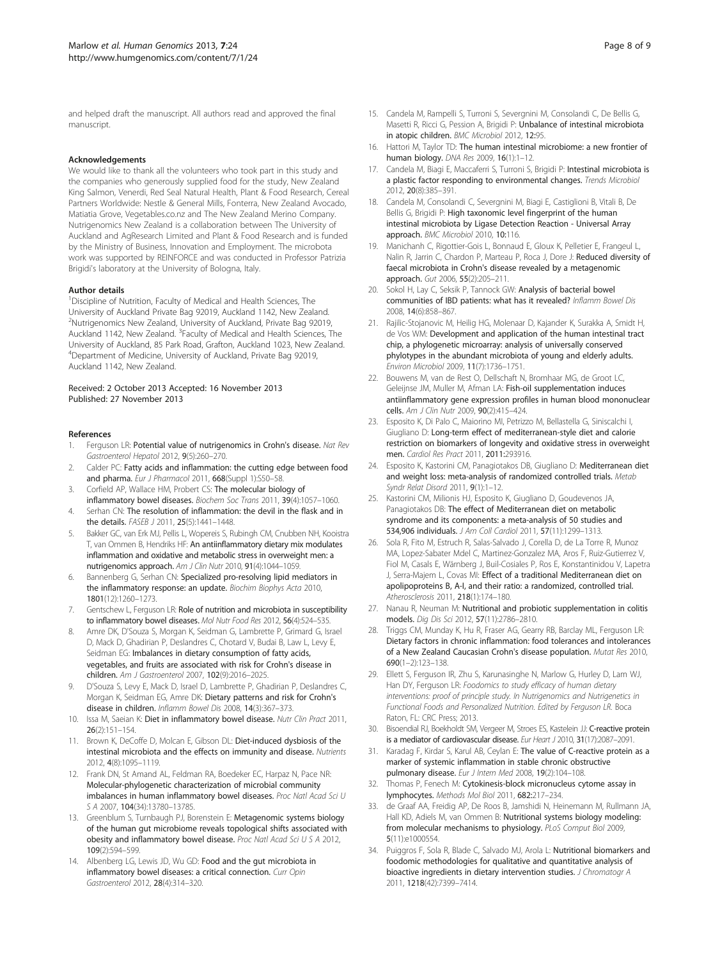<span id="page-7-0"></span>and helped draft the manuscript. All authors read and approved the final manuscript.

#### Acknowledgements

We would like to thank all the volunteers who took part in this study and the companies who generously supplied food for the study, New Zealand King Salmon, Venerdi, Red Seal Natural Health, Plant & Food Research, Cereal Partners Worldwide: Nestle & General Mills, Fonterra, New Zealand Avocado, Matiatia Grove, Vegetables.co.nz and The New Zealand Merino Company. Nutrigenomics New Zealand is a collaboration between The University of Auckland and AgResearch Limited and Plant & Food Research and is funded by the Ministry of Business, Innovation and Employment. The microbota work was supported by REINFORCE and was conducted in Professor Patrizia Brigidi's laboratory at the University of Bologna, Italy.

#### Author details

<sup>1</sup>Discipline of Nutrition, Faculty of Medical and Health Sciences, The University of Auckland Private Bag 92019, Auckland 1142, New Zealand. 2 Nutrigenomics New Zealand, University of Auckland, Private Bag 92019, Auckland 1142, New Zealand. <sup>3</sup> Faculty of Medical and Health Sciences, The University of Auckland, 85 Park Road, Grafton, Auckland 1023, New Zealand. 4 Department of Medicine, University of Auckland, Private Bag 92019, Auckland 1142, New Zealand.

#### Received: 2 October 2013 Accepted: 16 November 2013 Published: 27 November 2013

#### References

- 1. Ferguson LR: Potential value of nutrigenomics in Crohn's disease. Nat Rev Gastroenterol Hepatol 2012, 9(5):260–270.
- 2. Calder PC: Fatty acids and inflammation: the cutting edge between food and pharma. Eur J Pharmacol 2011, 668(Suppl 1):S50-58.
- 3. Corfield AP, Wallace HM, Probert CS: The molecular biology of inflammatory bowel diseases. Biochem Soc Trans 2011, 39(4):1057–1060.
- 4. Serhan CN: The resolution of inflammation: the devil in the flask and in the details. FASEB J 2011, 25(5):1441-1448.
- 5. Bakker GC, van Erk MJ, Pellis L, Wopereis S, Rubingh CM, Cnubben NH, Kooistra T, van Ommen B, Hendriks HF: An antiinflammatory dietary mix modulates inflammation and oxidative and metabolic stress in overweight men: a nutrigenomics approach. Am J Clin Nutr 2010, 91(4):1044–1059.
- 6. Bannenberg G, Serhan CN: Specialized pro-resolving lipid mediators in the inflammatory response: an update. Biochim Biophys Acta 2010, 1801(12):1260–1273.
- 7. Gentschew L, Ferguson LR: Role of nutrition and microbiota in susceptibility to inflammatory bowel diseases. Mol Nutr Food Res 2012, 56(4):524-535.
- 8. Amre DK, D'Souza S, Morgan K, Seidman G, Lambrette P, Grimard G, Israel D, Mack D, Ghadirian P, Deslandres C, Chotard V, Budai B, Law L, Levy E, Seidman EG: Imbalances in dietary consumption of fatty acids, vegetables, and fruits are associated with risk for Crohn's disease in children. Am J Gastroenterol 2007, 102(9):2016–2025.
- 9. D'Souza S, Levy E, Mack D, Israel D, Lambrette P, Ghadirian P, Deslandres C, Morgan K, Seidman EG, Amre DK: Dietary patterns and risk for Crohn's disease in children. Inflamm Bowel Dis 2008, 14(3):367–373.
- 10. Issa M, Saeian K: Diet in inflammatory bowel disease. Nutr Clin Pract 2011, 26(2):151–154.
- 11. Brown K, DeCoffe D, Molcan E, Gibson DL: Diet-induced dysbiosis of the intestinal microbiota and the effects on immunity and disease. Nutrients 2012, 4(8):1095–1119.
- 12. Frank DN, St Amand AL, Feldman RA, Boedeker EC, Harpaz N, Pace NR: Molecular-phylogenetic characterization of microbial community imbalances in human inflammatory bowel diseases. Proc Natl Acad Sci U S A 2007, 104(34):13780–13785.
- 13. Greenblum S, Turnbaugh PJ, Borenstein E: Metagenomic systems biology of the human gut microbiome reveals topological shifts associated with obesity and inflammatory bowel disease. Proc Natl Acad Sci U S A 2012, 109(2):594–599.
- 14. Albenberg LG, Lewis JD, Wu GD: Food and the gut microbiota in inflammatory bowel diseases: a critical connection. Curr Opin Gastroenterol 2012, 28(4):314–320.
- 15. Candela M, Rampelli S, Turroni S, Severgnini M, Consolandi C, De Bellis G, Masetti R, Ricci G, Pession A, Brigidi P: Unbalance of intestinal microbiota in atopic children. BMC Microbiol 2012, 12:95.
- 16. Hattori M, Taylor TD: The human intestinal microbiome: a new frontier of human biology. DNA Res 2009, 16(1):1–12.
- 17. Candela M, Biagi E, Maccaferri S, Turroni S, Brigidi P: Intestinal microbiota is a plastic factor responding to environmental changes. Trends Microbiol 2012, 20(8):385–391.
- 18. Candela M, Consolandi C, Severgnini M, Biagi E, Castiglioni B, Vitali B, De Bellis G, Brigidi P: High taxonomic level fingerprint of the human intestinal microbiota by Ligase Detection Reaction - Universal Array approach. BMC Microbiol 2010, 10:116.
- 19. Manichanh C, Rigottier-Gois L, Bonnaud E, Gloux K, Pelletier E, Frangeul L, Nalin R, Jarrin C, Chardon P, Marteau P, Roca J, Dore J: Reduced diversity of faecal microbiota in Crohn's disease revealed by a metagenomic approach. Gut 2006, 55(2):205–211.
- 20. Sokol H, Lay C, Seksik P, Tannock GW: Analysis of bacterial bowel communities of IBD patients: what has it revealed? Inflamm Bowel Dis 2008, 14(6):858–867.
- 21. Rajilic-Stojanovic M, Heilig HG, Molenaar D, Kajander K, Surakka A, Smidt H, de Vos WM: Development and application of the human intestinal tract chip, a phylogenetic microarray: analysis of universally conserved phylotypes in the abundant microbiota of young and elderly adults. Environ Microbiol 2009, 11(7):1736–1751.
- 22. Bouwens M, van de Rest O, Dellschaft N, Bromhaar MG, de Groot LC, Geleijnse JM, Muller M, Afman LA: Fish-oil supplementation induces antiinflammatory gene expression profiles in human blood mononuclear cells. Am J Clin Nutr 2009, 90(2):415–424.
- 23. Esposito K, Di Palo C, Maiorino MI, Petrizzo M, Bellastella G, Siniscalchi I, Giugliano D: Long-term effect of mediterranean-style diet and calorie restriction on biomarkers of longevity and oxidative stress in overweight men. Cardiol Res Pract 2011, 2011:293916.
- 24. Esposito K, Kastorini CM, Panagiotakos DB, Giugliano D: Mediterranean diet and weight loss: meta-analysis of randomized controlled trials. Metab Syndr Relat Disord 2011, 9(1):1–12.
- 25. Kastorini CM, Milionis HJ, Esposito K, Giugliano D, Goudevenos JA, Panagiotakos DB: The effect of Mediterranean diet on metabolic syndrome and its components: a meta-analysis of 50 studies and 534,906 individuals. J Am Coll Cardiol 2011, 57(11):1299–1313.
- 26. Sola R, Fito M, Estruch R, Salas-Salvado J, Corella D, de La Torre R, Munoz MA, Lopez-Sabater Mdel C, Martinez-Gonzalez MA, Aros F, Ruiz-Gutierrez V, Fiol M, Casals E, Wärnberg J, Buil-Cosiales P, Ros E, Konstantinidou V, Lapetra J, Serra-Majem L, Covas MI: Effect of a traditional Mediterranean diet on apolipoproteins B, A-I, and their ratio: a randomized, controlled trial. Atherosclerosis 2011, 218(1):174–180.
- 27. Nanau R, Neuman M: Nutritional and probiotic supplementation in colitis models. Dig Dis Sci 2012, 57(11):2786–2810.
- 28. Triggs CM, Munday K, Hu R, Fraser AG, Gearry RB, Barclay ML, Ferguson LR: Dietary factors in chronic inflammation: food tolerances and intolerances of a New Zealand Caucasian Crohn's disease population. Mutat Res 2010, 690(1–2):123–138.
- 29. Ellett S, Ferguson IR, Zhu S, Karunasinghe N, Marlow G, Hurley D, Lam WJ, Han DY, Ferguson LR: Foodomics to study efficacy of human dietary interventions: proof of principle study. In Nutrigenomics and Nutrigenetics in Functional Foods and Personalized Nutrition. Edited by Ferguson LR. Boca Raton, FL: CRC Press; 2013.
- 30. Bisoendial RJ, Boekholdt SM, Vergeer M, Stroes ES, Kastelein JJ: C-reactive protein is a mediator of cardiovascular disease. Eur Heart J 2010, 31(17):2087-2091.
- 31. Karadag F, Kirdar S, Karul AB, Ceylan E: The value of C-reactive protein as a marker of systemic inflammation in stable chronic obstructive pulmonary disease. Eur J Intern Med 2008, 19(2):104-108.
- 32. Thomas P, Fenech M: Cytokinesis-block micronucleus cytome assay in lymphocytes. Methods Mol Biol 2011, 682:217–234.
- 33. de Graaf AA, Freidig AP, De Roos B, Jamshidi N, Heinemann M, Rullmann JA, Hall KD, Adiels M, van Ommen B: Nutritional systems biology modeling: from molecular mechanisms to physiology. PLoS Comput Biol 2009, 5(11):e1000554.
- 34. Puiggros F, Sola R, Blade C, Salvado MJ, Arola L: Nutritional biomarkers and foodomic methodologies for qualitative and quantitative analysis of bioactive ingredients in dietary intervention studies. J Chromatogr A 2011, 1218(42):7399–7414.